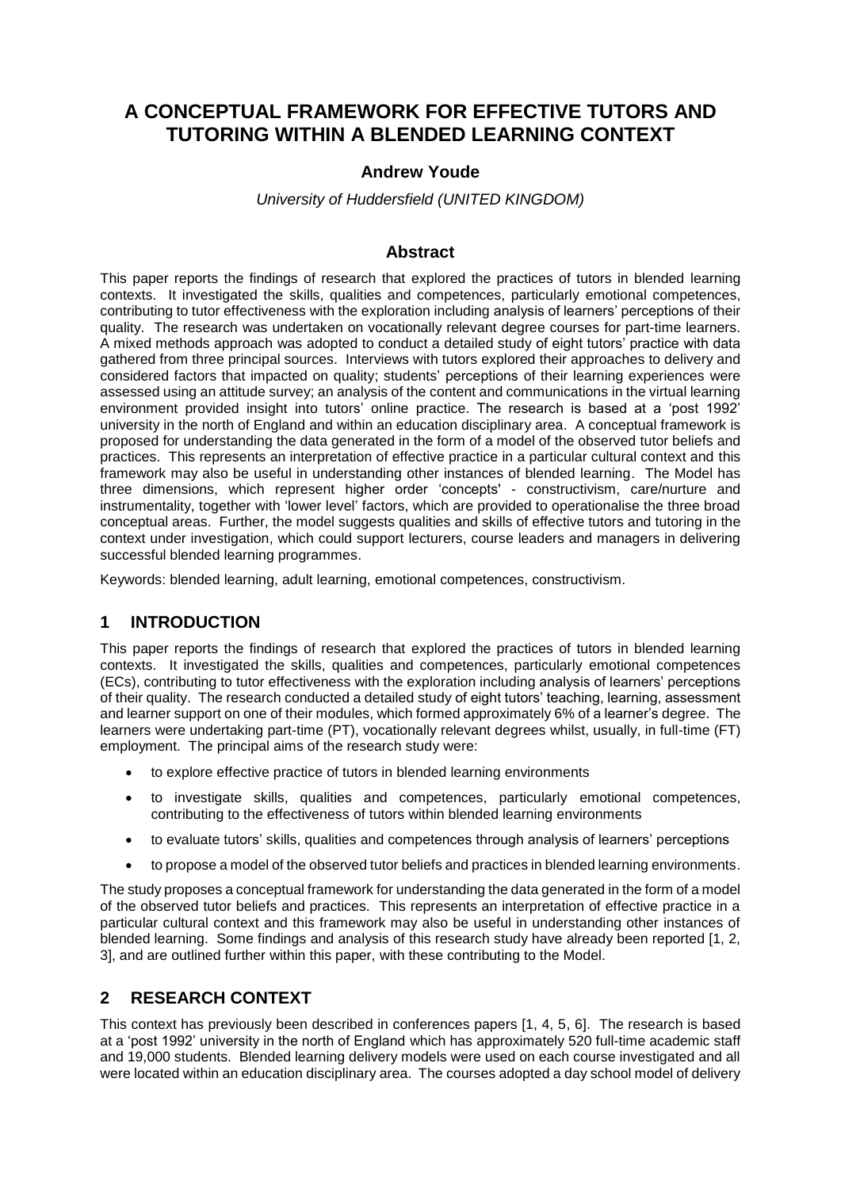# **A CONCEPTUAL FRAMEWORK FOR EFFECTIVE TUTORS AND TUTORING WITHIN A BLENDED LEARNING CONTEXT**

### **Andrew Youde**

#### *University of Huddersfield (UNITED KINGDOM)*

#### **Abstract**

This paper reports the findings of research that explored the practices of tutors in blended learning contexts. It investigated the skills, qualities and competences, particularly emotional competences, contributing to tutor effectiveness with the exploration including analysis of learners' perceptions of their quality. The research was undertaken on vocationally relevant degree courses for part-time learners. A mixed methods approach was adopted to conduct a detailed study of eight tutors' practice with data gathered from three principal sources. Interviews with tutors explored their approaches to delivery and considered factors that impacted on quality; students' perceptions of their learning experiences were assessed using an attitude survey; an analysis of the content and communications in the virtual learning environment provided insight into tutors' online practice. The research is based at a 'post 1992' university in the north of England and within an education disciplinary area. A conceptual framework is proposed for understanding the data generated in the form of a model of the observed tutor beliefs and practices. This represents an interpretation of effective practice in a particular cultural context and this framework may also be useful in understanding other instances of blended learning. The Model has three dimensions, which represent higher order 'concepts' - constructivism, care/nurture and instrumentality, together with 'lower level' factors, which are provided to operationalise the three broad conceptual areas. Further, the model suggests qualities and skills of effective tutors and tutoring in the context under investigation, which could support lecturers, course leaders and managers in delivering successful blended learning programmes.

Keywords: blended learning, adult learning, emotional competences, constructivism.

### **1 INTRODUCTION**

This paper reports the findings of research that explored the practices of tutors in blended learning contexts. It investigated the skills, qualities and competences, particularly emotional competences (ECs), contributing to tutor effectiveness with the exploration including analysis of learners' perceptions of their quality. The research conducted a detailed study of eight tutors' teaching, learning, assessment and learner support on one of their modules, which formed approximately 6% of a learner's degree. The learners were undertaking part-time (PT), vocationally relevant degrees whilst, usually, in full-time (FT) employment. The principal aims of the research study were:

- to explore effective practice of tutors in blended learning environments
- to investigate skills, qualities and competences, particularly emotional competences, contributing to the effectiveness of tutors within blended learning environments
- to evaluate tutors' skills, qualities and competences through analysis of learners' perceptions
- to propose a model of the observed tutor beliefs and practices in blended learning environments.

The study proposes a conceptual framework for understanding the data generated in the form of a model of the observed tutor beliefs and practices. This represents an interpretation of effective practice in a particular cultural context and this framework may also be useful in understanding other instances of blended learning. Some findings and analysis of this research study have already been reported [1, 2, 3], and are outlined further within this paper, with these contributing to the Model.

### **2 RESEARCH CONTEXT**

This context has previously been described in conferences papers [1, 4, 5, 6]. The research is based at a 'post 1992' university in the north of England which has approximately 520 full-time academic staff and 19,000 students. Blended learning delivery models were used on each course investigated and all were located within an education disciplinary area. The courses adopted a day school model of delivery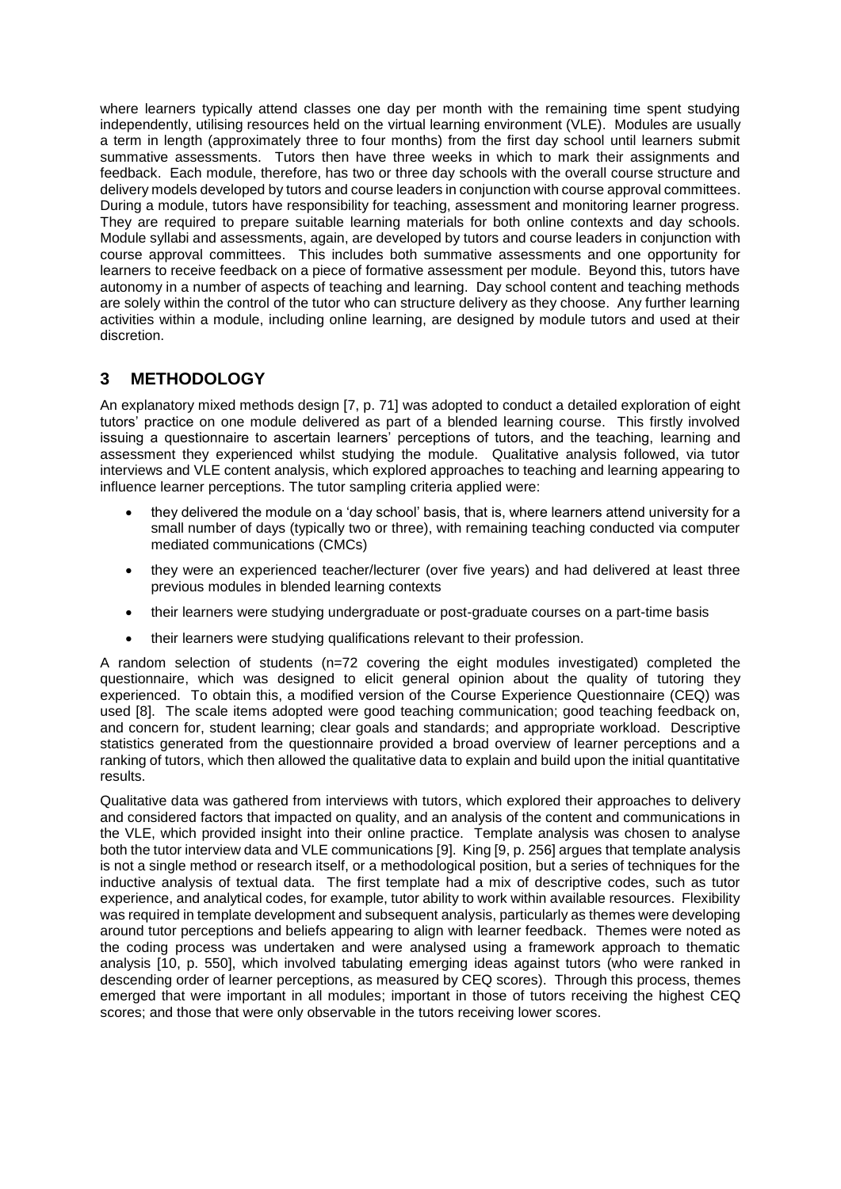where learners typically attend classes one day per month with the remaining time spent studying independently, utilising resources held on the virtual learning environment (VLE). Modules are usually a term in length (approximately three to four months) from the first day school until learners submit summative assessments. Tutors then have three weeks in which to mark their assignments and feedback. Each module, therefore, has two or three day schools with the overall course structure and delivery models developed by tutors and course leaders in conjunction with course approval committees. During a module, tutors have responsibility for teaching, assessment and monitoring learner progress. They are required to prepare suitable learning materials for both online contexts and day schools. Module syllabi and assessments, again, are developed by tutors and course leaders in conjunction with course approval committees. This includes both summative assessments and one opportunity for learners to receive feedback on a piece of formative assessment per module. Beyond this, tutors have autonomy in a number of aspects of teaching and learning. Day school content and teaching methods are solely within the control of the tutor who can structure delivery as they choose. Any further learning activities within a module, including online learning, are designed by module tutors and used at their discretion.

## **3 METHODOLOGY**

An explanatory mixed methods design [7, p. 71] was adopted to conduct a detailed exploration of eight tutors' practice on one module delivered as part of a blended learning course. This firstly involved issuing a questionnaire to ascertain learners' perceptions of tutors, and the teaching, learning and assessment they experienced whilst studying the module. Qualitative analysis followed, via tutor interviews and VLE content analysis, which explored approaches to teaching and learning appearing to influence learner perceptions. The tutor sampling criteria applied were:

- they delivered the module on a 'day school' basis, that is, where learners attend university for a small number of days (typically two or three), with remaining teaching conducted via computer mediated communications (CMCs)
- they were an experienced teacher/lecturer (over five years) and had delivered at least three previous modules in blended learning contexts
- their learners were studying undergraduate or post-graduate courses on a part-time basis
- their learners were studying qualifications relevant to their profession.

A random selection of students (n=72 covering the eight modules investigated) completed the questionnaire, which was designed to elicit general opinion about the quality of tutoring they experienced. To obtain this, a modified version of the Course Experience Questionnaire (CEQ) was used [8]. The scale items adopted were good teaching communication; good teaching feedback on, and concern for, student learning; clear goals and standards; and appropriate workload. Descriptive statistics generated from the questionnaire provided a broad overview of learner perceptions and a ranking of tutors, which then allowed the qualitative data to explain and build upon the initial quantitative results.

Qualitative data was gathered from interviews with tutors, which explored their approaches to delivery and considered factors that impacted on quality, and an analysis of the content and communications in the VLE, which provided insight into their online practice. Template analysis was chosen to analyse both the tutor interview data and VLE communications [9]. King [9, p. 256] argues that template analysis is not a single method or research itself, or a methodological position, but a series of techniques for the inductive analysis of textual data. The first template had a mix of descriptive codes, such as tutor experience, and analytical codes, for example, tutor ability to work within available resources. Flexibility was required in template development and subsequent analysis, particularly as themes were developing around tutor perceptions and beliefs appearing to align with learner feedback. Themes were noted as the coding process was undertaken and were analysed using a framework approach to thematic analysis [10, p. 550], which involved tabulating emerging ideas against tutors (who were ranked in descending order of learner perceptions, as measured by CEQ scores). Through this process, themes emerged that were important in all modules; important in those of tutors receiving the highest CEQ scores; and those that were only observable in the tutors receiving lower scores.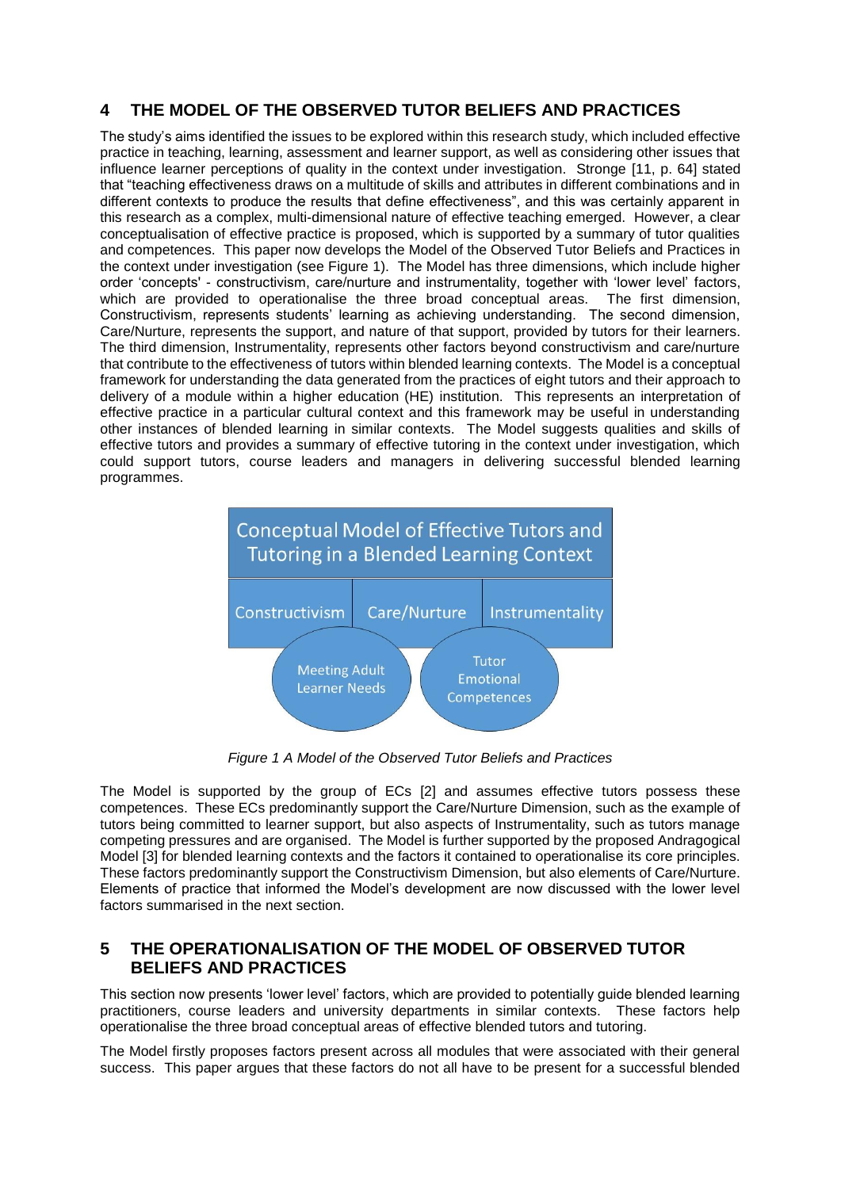## **4 THE MODEL OF THE OBSERVED TUTOR BELIEFS AND PRACTICES**

The study's aims identified the issues to be explored within this research study, which included effective practice in teaching, learning, assessment and learner support, as well as considering other issues that influence learner perceptions of quality in the context under investigation. Stronge [11, p. 64] stated that "teaching effectiveness draws on a multitude of skills and attributes in different combinations and in different contexts to produce the results that define effectiveness", and this was certainly apparent in this research as a complex, multi-dimensional nature of effective teaching emerged. However, a clear conceptualisation of effective practice is proposed, which is supported by a summary of tutor qualities and competences. This paper now develops the Model of the Observed Tutor Beliefs and Practices in the context under investigation (see Figure 1). The Model has three dimensions, which include higher order 'concepts' - constructivism, care/nurture and instrumentality, together with 'lower level' factors, which are provided to operationalise the three broad conceptual areas. The first dimension, Constructivism, represents students' learning as achieving understanding. The second dimension, Care/Nurture, represents the support, and nature of that support, provided by tutors for their learners. The third dimension, Instrumentality, represents other factors beyond constructivism and care/nurture that contribute to the effectiveness of tutors within blended learning contexts. The Model is a conceptual framework for understanding the data generated from the practices of eight tutors and their approach to delivery of a module within a higher education (HE) institution. This represents an interpretation of effective practice in a particular cultural context and this framework may be useful in understanding other instances of blended learning in similar contexts. The Model suggests qualities and skills of effective tutors and provides a summary of effective tutoring in the context under investigation, which could support tutors, course leaders and managers in delivering successful blended learning programmes.



*Figure 1 A Model of the Observed Tutor Beliefs and Practices*

The Model is supported by the group of ECs [2] and assumes effective tutors possess these competences. These ECs predominantly support the Care/Nurture Dimension, such as the example of tutors being committed to learner support, but also aspects of Instrumentality, such as tutors manage competing pressures and are organised. The Model is further supported by the proposed Andragogical Model [3] for blended learning contexts and the factors it contained to operationalise its core principles. These factors predominantly support the Constructivism Dimension, but also elements of Care/Nurture. Elements of practice that informed the Model's development are now discussed with the lower level factors summarised in the next section.

## **5 THE OPERATIONALISATION OF THE MODEL OF OBSERVED TUTOR BELIEFS AND PRACTICES**

This section now presents 'lower level' factors, which are provided to potentially guide blended learning practitioners, course leaders and university departments in similar contexts. These factors help operationalise the three broad conceptual areas of effective blended tutors and tutoring.

The Model firstly proposes factors present across all modules that were associated with their general success. This paper argues that these factors do not all have to be present for a successful blended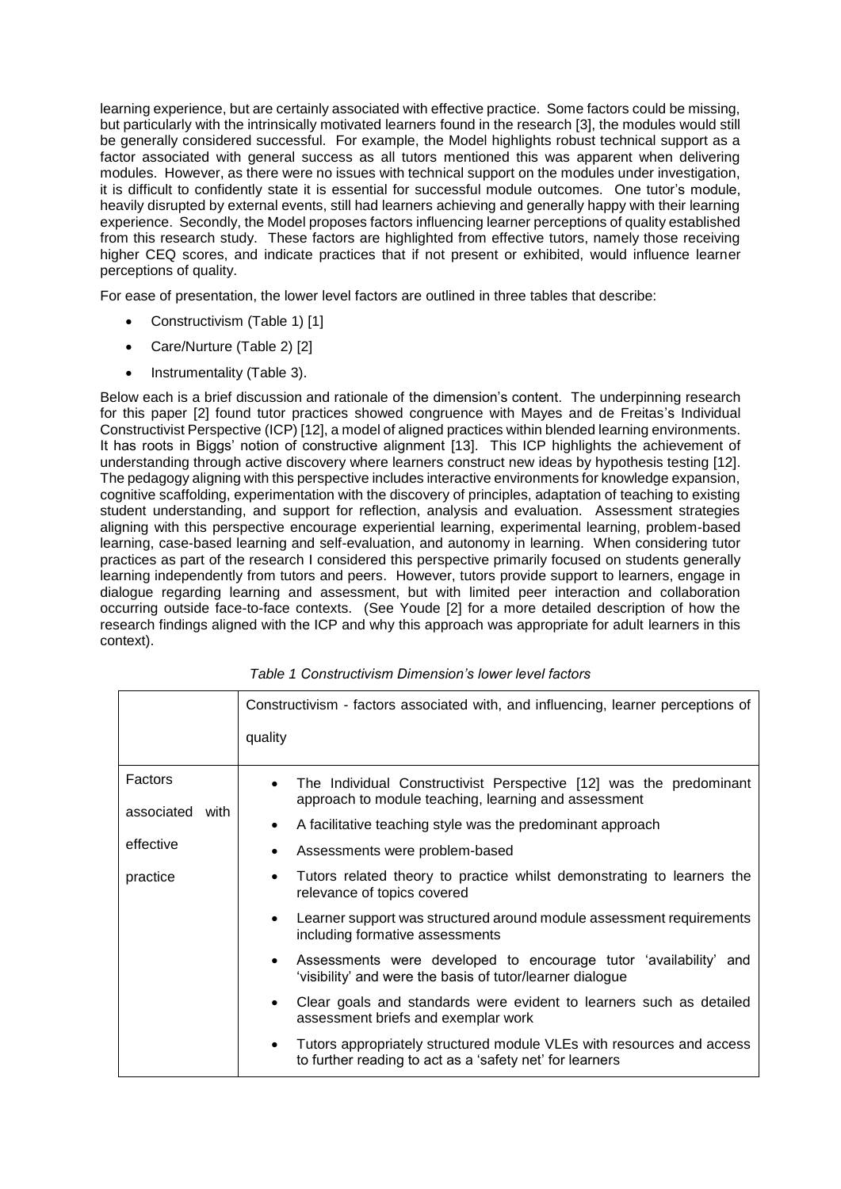learning experience, but are certainly associated with effective practice. Some factors could be missing, but particularly with the intrinsically motivated learners found in the research [3], the modules would still be generally considered successful. For example, the Model highlights robust technical support as a factor associated with general success as all tutors mentioned this was apparent when delivering modules. However, as there were no issues with technical support on the modules under investigation, it is difficult to confidently state it is essential for successful module outcomes. One tutor's module, heavily disrupted by external events, still had learners achieving and generally happy with their learning experience. Secondly, the Model proposes factors influencing learner perceptions of quality established from this research study. These factors are highlighted from effective tutors, namely those receiving higher CEQ scores, and indicate practices that if not present or exhibited, would influence learner perceptions of quality.

For ease of presentation, the lower level factors are outlined in three tables that describe:

- Constructivism (Table 1) [1]
- Care/Nurture (Table 2) [2]
- Instrumentality (Table 3).

Below each is a brief discussion and rationale of the dimension's content. The underpinning research for this paper [2] found tutor practices showed congruence with Mayes and de Freitas's Individual Constructivist Perspective (ICP) [12], a model of aligned practices within blended learning environments. It has roots in Biggs' notion of constructive alignment [13]. This ICP highlights the achievement of understanding through active discovery where learners construct new ideas by hypothesis testing [12]. The pedagogy aligning with this perspective includes interactive environments for knowledge expansion, cognitive scaffolding, experimentation with the discovery of principles, adaptation of teaching to existing student understanding, and support for reflection, analysis and evaluation. Assessment strategies aligning with this perspective encourage experiential learning, experimental learning, problem-based learning, case-based learning and self-evaluation, and autonomy in learning. When considering tutor practices as part of the research I considered this perspective primarily focused on students generally learning independently from tutors and peers. However, tutors provide support to learners, engage in dialogue regarding learning and assessment, but with limited peer interaction and collaboration occurring outside face-to-face contexts. (See Youde [2] for a more detailed description of how the research findings aligned with the ICP and why this approach was appropriate for adult learners in this context).

|                 | Constructivism - factors associated with, and influencing, learner perceptions of                                                              |
|-----------------|------------------------------------------------------------------------------------------------------------------------------------------------|
|                 | quality                                                                                                                                        |
| Factors         | The Individual Constructivist Perspective [12] was the predominant<br>$\bullet$<br>approach to module teaching, learning and assessment        |
| associated with | A facilitative teaching style was the predominant approach<br>$\bullet$                                                                        |
| effective       | Assessments were problem-based                                                                                                                 |
| practice        | Tutors related theory to practice whilst demonstrating to learners the<br>$\bullet$<br>relevance of topics covered                             |
|                 | Learner support was structured around module assessment requirements<br>$\bullet$<br>including formative assessments                           |
|                 | Assessments were developed to encourage tutor 'availability' and<br>$\bullet$<br>'visibility' and were the basis of tutor/learner dialogue     |
|                 | Clear goals and standards were evident to learners such as detailed<br>$\bullet$<br>assessment briefs and exemplar work                        |
|                 | Tutors appropriately structured module VLEs with resources and access<br>$\bullet$<br>to further reading to act as a 'safety net' for learners |

*Table 1 Constructivism Dimension's lower level factors*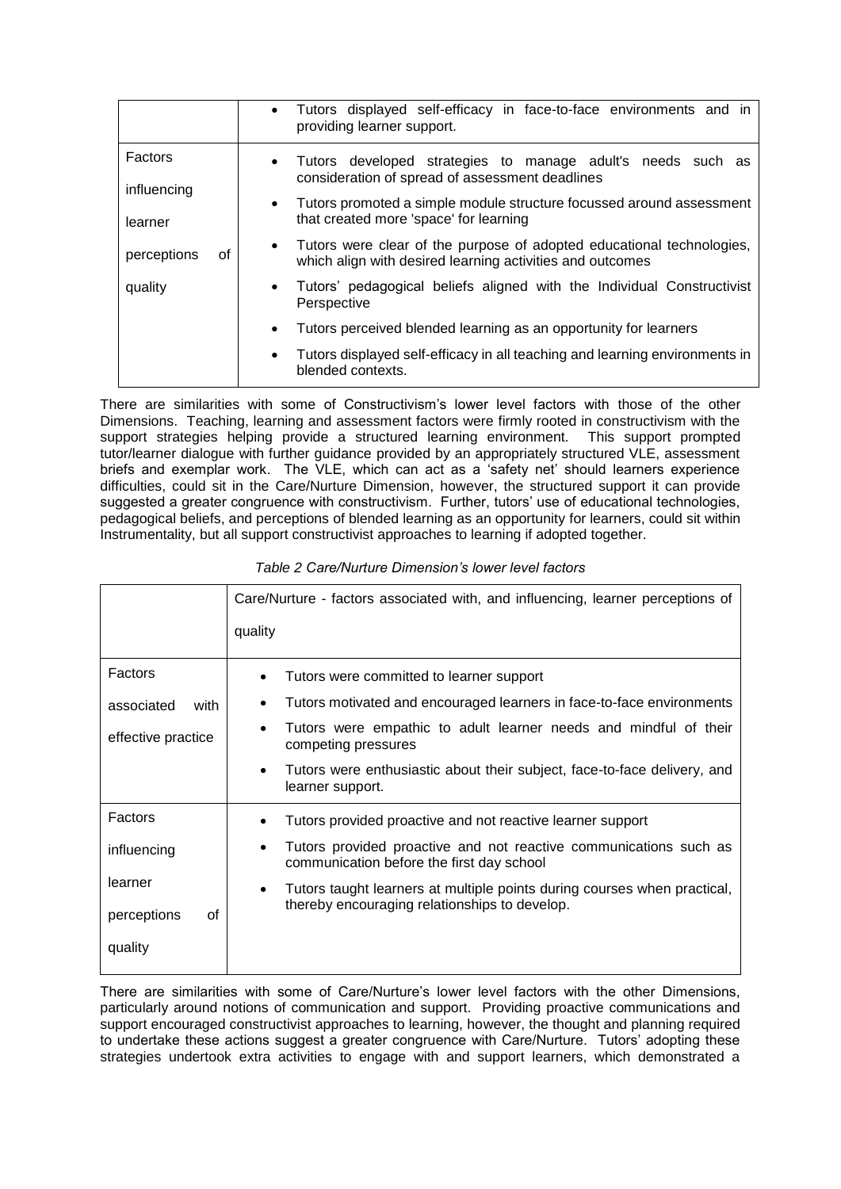|                        | Tutors displayed self-efficacy in face-to-face environments and in<br>$\bullet$<br>providing learner support.                                   |
|------------------------|-------------------------------------------------------------------------------------------------------------------------------------------------|
| Factors                | Tutors developed strategies to manage adult's needs such as<br>$\bullet$<br>consideration of spread of assessment deadlines                     |
| influencing<br>learner | Tutors promoted a simple module structure focussed around assessment<br>$\bullet$<br>that created more 'space' for learning                     |
| perceptions<br>Ωf      | Tutors were clear of the purpose of adopted educational technologies,<br>$\bullet$<br>which align with desired learning activities and outcomes |
| quality                | Tutors' pedagogical beliefs aligned with the Individual Constructivist<br>$\bullet$<br>Perspective                                              |
|                        | Tutors perceived blended learning as an opportunity for learners<br>$\bullet$                                                                   |
|                        | Tutors displayed self-efficacy in all teaching and learning environments in<br>$\bullet$<br>blended contexts.                                   |

There are similarities with some of Constructivism's lower level factors with those of the other Dimensions. Teaching, learning and assessment factors were firmly rooted in constructivism with the support strategies helping provide a structured learning environment. This support prompted tutor/learner dialogue with further guidance provided by an appropriately structured VLE, assessment briefs and exemplar work. The VLE, which can act as a 'safety net' should learners experience difficulties, could sit in the Care/Nurture Dimension, however, the structured support it can provide suggested a greater congruence with constructivism. Further, tutors' use of educational technologies, pedagogical beliefs, and perceptions of blended learning as an opportunity for learners, could sit within Instrumentality, but all support constructivist approaches to learning if adopted together.

|                    | Care/Nurture - factors associated with, and influencing, learner perceptions of                                |
|--------------------|----------------------------------------------------------------------------------------------------------------|
|                    | quality                                                                                                        |
| Factors            | Tutors were committed to learner support                                                                       |
| associated<br>with | Tutors motivated and encouraged learners in face-to-face environments                                          |
| effective practice | Tutors were empathic to adult learner needs and mindful of their<br>competing pressures                        |
|                    | Tutors were enthusiastic about their subject, face-to-face delivery, and<br>learner support.                   |
| Factors            | Tutors provided proactive and not reactive learner support                                                     |
| influencing        | Tutors provided proactive and not reactive communications such as<br>communication before the first day school |
| learner            | Tutors taught learners at multiple points during courses when practical,<br>$\bullet$                          |
| perceptions<br>οf  | thereby encouraging relationships to develop.                                                                  |
| quality            |                                                                                                                |

#### *Table 2 Care/Nurture Dimension's lower level factors*

There are similarities with some of Care/Nurture's lower level factors with the other Dimensions, particularly around notions of communication and support. Providing proactive communications and support encouraged constructivist approaches to learning, however, the thought and planning required to undertake these actions suggest a greater congruence with Care/Nurture. Tutors' adopting these strategies undertook extra activities to engage with and support learners, which demonstrated a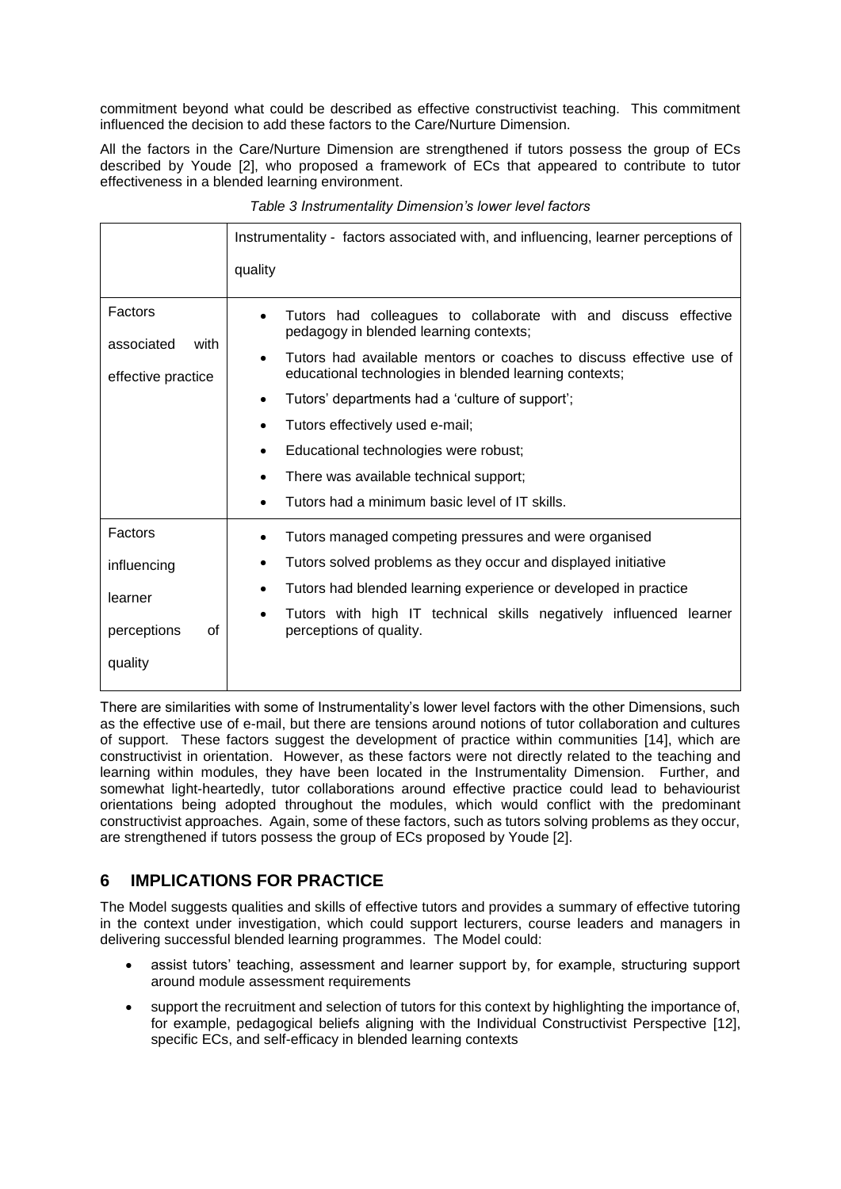commitment beyond what could be described as effective constructivist teaching. This commitment influenced the decision to add these factors to the Care/Nurture Dimension.

All the factors in the Care/Nurture Dimension are strengthened if tutors possess the group of ECs described by Youde [2], who proposed a framework of ECs that appeared to contribute to tutor effectiveness in a blended learning environment.

|                                          | Instrumentality - factors associated with, and influencing, learner perceptions of                                            |
|------------------------------------------|-------------------------------------------------------------------------------------------------------------------------------|
|                                          | quality                                                                                                                       |
| Factors                                  | Tutors had colleagues to collaborate with and discuss effective<br>pedagogy in blended learning contexts;                     |
| associated<br>with<br>effective practice | Tutors had available mentors or coaches to discuss effective use of<br>educational technologies in blended learning contexts; |
|                                          | Tutors' departments had a 'culture of support';                                                                               |
|                                          | Tutors effectively used e-mail;<br>$\bullet$                                                                                  |
|                                          | Educational technologies were robust;                                                                                         |
|                                          | There was available technical support;                                                                                        |
|                                          | Tutors had a minimum basic level of IT skills.                                                                                |
| Factors                                  | Tutors managed competing pressures and were organised                                                                         |
| influencing                              | Tutors solved problems as they occur and displayed initiative<br>$\bullet$                                                    |
| learner                                  | Tutors had blended learning experience or developed in practice<br>$\bullet$                                                  |
| perceptions<br>οf                        | Tutors with high IT technical skills negatively influenced learner<br>$\bullet$<br>perceptions of quality.                    |
| quality                                  |                                                                                                                               |

*Table 3 Instrumentality Dimension's lower level factors*

There are similarities with some of Instrumentality's lower level factors with the other Dimensions, such as the effective use of e-mail, but there are tensions around notions of tutor collaboration and cultures of support. These factors suggest the development of practice within communities [14], which are constructivist in orientation. However, as these factors were not directly related to the teaching and learning within modules, they have been located in the Instrumentality Dimension. Further, and somewhat light-heartedly, tutor collaborations around effective practice could lead to behaviourist orientations being adopted throughout the modules, which would conflict with the predominant constructivist approaches. Again, some of these factors, such as tutors solving problems as they occur, are strengthened if tutors possess the group of ECs proposed by Youde [2].

## **6 IMPLICATIONS FOR PRACTICE**

The Model suggests qualities and skills of effective tutors and provides a summary of effective tutoring in the context under investigation, which could support lecturers, course leaders and managers in delivering successful blended learning programmes. The Model could:

- assist tutors' teaching, assessment and learner support by, for example, structuring support around module assessment requirements
- support the recruitment and selection of tutors for this context by highlighting the importance of, for example, pedagogical beliefs aligning with the Individual Constructivist Perspective [12], specific ECs, and self-efficacy in blended learning contexts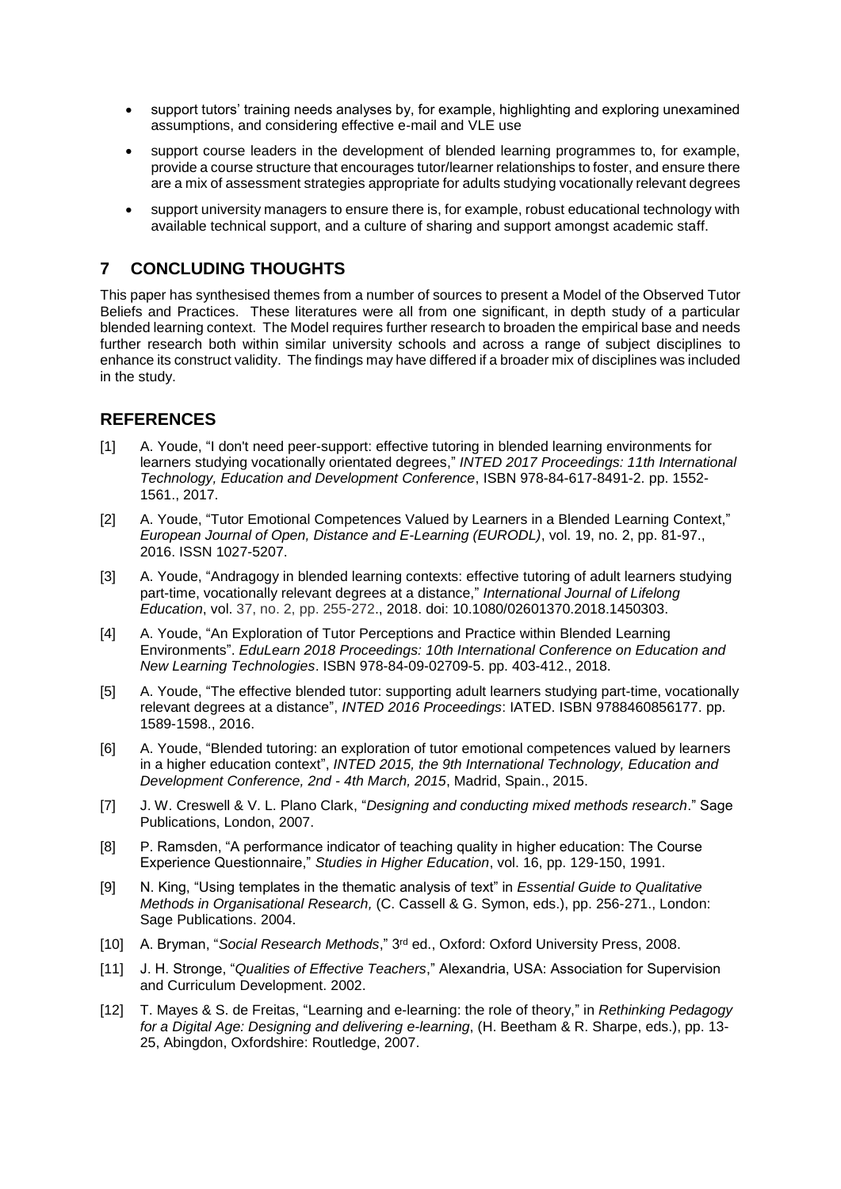- support tutors' training needs analyses by, for example, highlighting and exploring unexamined assumptions, and considering effective e-mail and VLE use
- support course leaders in the development of blended learning programmes to, for example, provide a course structure that encourages tutor/learner relationships to foster, and ensure there are a mix of assessment strategies appropriate for adults studying vocationally relevant degrees
- support university managers to ensure there is, for example, robust educational technology with available technical support, and a culture of sharing and support amongst academic staff.

## **7 CONCLUDING THOUGHTS**

This paper has synthesised themes from a number of sources to present a Model of the Observed Tutor Beliefs and Practices. These literatures were all from one significant, in depth study of a particular blended learning context. The Model requires further research to broaden the empirical base and needs further research both within similar university schools and across a range of subject disciplines to enhance its construct validity. The findings may have differed if a broader mix of disciplines was included in the study.

### **REFERENCES**

- [1] A. Youde, ["I don't need peer-support: effective tutoring in blended learning environments for](http://eprints.hud.ac.uk/31818)  [learners studying vocationally orientated degrees,](http://eprints.hud.ac.uk/31818)" *INTED 2017 Proceedings: 11th International Technology, Education and Development Conference*, ISBN 978-84-617-8491-2. pp. 1552- 1561., 2017.
- [2] A. Youde, ["Tutor Emotional Competences Valued by Learners in a Blended Learning Context,](http://eprints.hud.ac.uk/30056)" *European Journal of Open, Distance and E-Learning (EURODL)*, vol. 19, no. 2, pp. 81-97., 2016. ISSN 1027-5207.
- [3] A. Youde, "Andragogy in blended learning contexts: effective tutoring of adult learners studying part-time, vocationally relevant degrees at a distance," *International Journal of Lifelong Education*, vol. 37, no. 2, pp. 255-272., 2018. doi: 10.1080/02601370.2018.1450303.
- [4] A. Youde, ["An Exploration of Tutor Perceptions and Practice within Blended Learning](javascript:void(0);)  [Environments"](javascript:void(0);). *EduLearn 2018 Proceedings: 10th International Conference on Education and New Learning Technologies*. ISBN 978-84-09-02709-5. pp. 403-412., 2018.
- [5] A. Youde, "The effective blended tutor: [supporting adult learners studying part-time, vocationally](http://eprints.hud.ac.uk/28123)  [relevant degrees at a distance"](http://eprints.hud.ac.uk/28123), *INTED 2016 Proceedings*: IATED. ISBN 9788460856177. pp. 1589-1598., 2016.
- [6] A. Youde, "Blended tutoring: an exploration of tutor emotional competences valued by learners in a higher education context", *INTED 2015, the 9th International Technology, Education and Development Conference, 2nd - 4th March, 2015*, Madrid, Spain., 2015.
- [7] J. W. Creswell & V. L. Plano Clark, "*Designing and conducting mixed methods research*." Sage Publications, London, 2007.
- [8] P. Ramsden, "A performance indicator of teaching quality in higher education: The Course Experience Questionnaire," *Studies in Higher Education*, vol. 16, pp. 129-150, 1991.
- [9] N. King, "Using templates in the thematic analysis of text" in *Essential Guide to Qualitative Methods in Organisational Research,* (C. Cassell & G. Symon, eds.), pp. 256-271., London: Sage Publications. 2004.
- [10] A. Bryman, "*Social Research Methods*," 3<sup>rd</sup> ed., Oxford: Oxford University Press, 2008.
- [11] J. H. Stronge, "*Qualities of Effective Teachers*," Alexandria, USA: Association for Supervision and Curriculum Development. 2002.
- [12] T. Mayes & S. de Freitas, "Learning and e-learning: the role of theory," in *Rethinking Pedagogy for a Digital Age: Designing and delivering e-learning*, (H. Beetham & R. Sharpe, eds.), pp. 13- 25, Abingdon, Oxfordshire: Routledge, 2007.